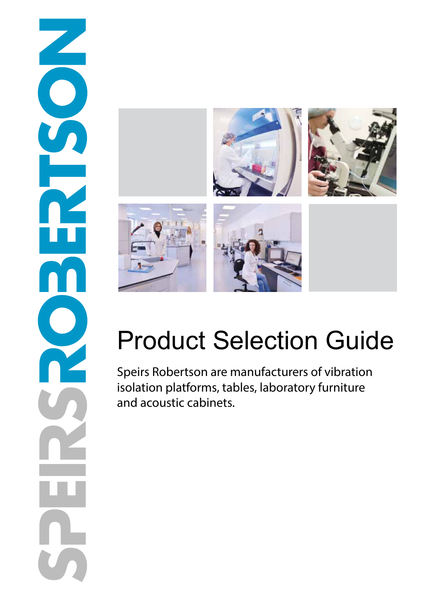

# Product Selection Guide

Speirs Robertson are manufacturers of vibration isolation platforms, tables, laboratory furniture and acoustic cabinets.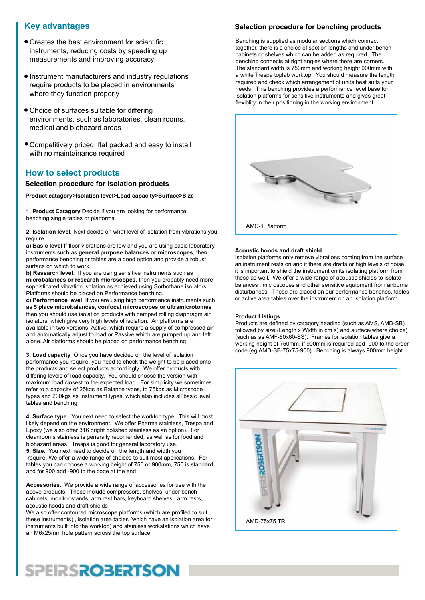## **Key advantages**

- Creates the best environment for scientific instruments, reducing costs by speeding up measurements and improving accuracy
- Instrument manufacturers and industry regulations require products to be placed in environments where they function properly
- Choice of surfaces suitable for differing environments, such as laboratories, clean rooms, medical and biohazard areas
- Competitively priced, flat packed and easy to install with no maintainance required

### **How to select products**

#### **Selection procedure for isolation products**

**Product catagory>Isolation level>Load capacity>Surface>Size**

**1. Product Catagory** Decide if you are looking for performance benching,single tables or platforms.

**2. Isolation level**. Next decide on what level of isolation from vibrations you require.

**a) Basic level** If floor vibrations are low and you are using basic laboratory instruments such as **general purpose balances or microscopes,** then performance benching or tables are a good option and provide a robust surface on which to work.

**b) Research level**. If you are using sensitive instruments such as **microbalances or research microscopes**, then you probably need more sophisticated vibration isolation as achieved using Sorbothane isolators. Platforms should be placed on Performance benching.

**c) Performance level**. If you are using high performance instruments such as **5 place microbalances, confocal microscopes or ultramicrotomes** then you should use isolation products with damped rolling diaphragm air isolators, which give very high levels of isolation. Air platforms are available in two versions: Active, which require a supply of compressed air and automatically adjust to load or Passive which are pumped up and left alone. Air platforms should be placed on performance benching.

**3. Load capacity** Once you have decided on the level of isolation performance you require. you need to check the weight to be placed onto the products and select products accordingly. We offer products with differing levels of load capacity. You should choose the version with maximum load closest to the expected load. For simplicity we sometimes refer to a capacity of 25kgs as Balance types, to 75kgs as Microscope types and 200kgs as Instrument types, which also includes all basic level tables and benching

**4. Surface type.** You next need to select the worktop type. This will most likely depend on the environment. We offer Pharma stainless, Trespa and Epoxy (we also offer 316 bright polished stainless as an option). For cleanrooms stainless is generally recomended, as well as for food and biohazard areas. Trespa is good for general laboratory use. **5. Size**. You next need to decide on the length and width you require. We offer a wide range of choices to suit most applications. For tables you can choose a working height of 750 or 900mm, 750 is standard

**Accessories**. We provide a wide range of accessories for use with the above products. These include compressors, shelves, under bench cabinets, monitor stands, arm rest bars, keyboard shelves , arm rests, acoustic hoods and draft shields

and for 900 add -900 to the code at the end

We also offer contoured microscope platforms (which are profiled to suit these instruments) , isolation area tables (which have an isolation area for instruments built into the worktop) and stainless workstations which have an M6x25mm hole pattern across the top surface

#### **Selection procedure for benching products**

Benching is supplied as modular sections which connect together, there is a choice of section lengths and under bench cabinets or shelves which can be added as required. The benching connects at right angles where there are corners. The standard width is 750mm and working height 900mm with a white Trespa toplab worktop. You should measure the length required and check which arrangement of units best suits your needs. This benching provides a performance level base for isolation platforms for sensitive instruments and gives great flexiblity in their positioning in the working environment



#### **Acoustic hoods and draft shield**

Isolation platforms only remove vibrations coming from the surface an instrument rests on and if there are drafts or high levels of noise it is important to shield the instrument on its isolating platform from these as well. We offer a wide range of acoustic shields to isolate balances , microscopes and other sensitive equipment from airborne disturbances, These are placed on our performance benches, tables or active area tables over the instrument on an isolation platform.

#### **Product Listings**

Products are defined by catagory heading (such as AMS, AMD-SB) followed by size (Length x Width in cm s) and surface(where choice) (such as as AMF-60x60-SS). Frames for isolation tables give a working height of 750mm, if 900mm is required add -900 to the order code (eg AMD-SB-75x75-900). Benching is always 900mm height



# **SPEIRSROBERTSON**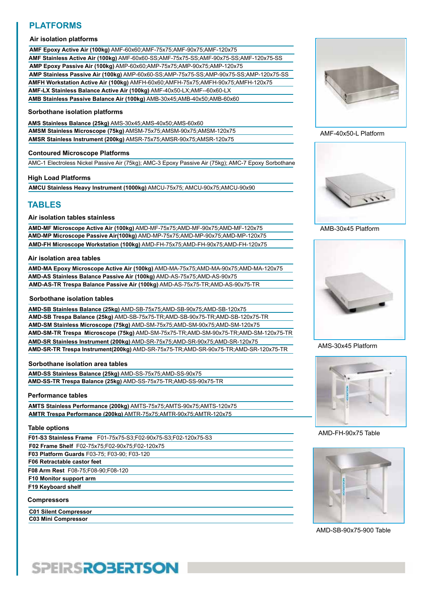# **PLATFORMS**

#### **Air isolation platforms**

**AMF Epoxy Active Air (100kg)** AMF-60x60;AMF-75x75;AMF-90x75;AMF-120x75 **AMF Stainless Active Air (100kg)** AMF-60x60-SS;AMF-75x75-SS;AMF-90x75-SS;AMF-120x75-SS **AMP Stainless Passive Air (100kg)** AMP-60x60-SS;AMP-75x75-SS;AMP-90x75-SS;AMP-120x75-SS **AMP Epoxy Passive Air (100kg)** AMP-60x60;AMP-75x75;AMP-90x75;AMP-120x75 **AMFH Workstation Active Air (100kg)** AMFH-60x60;AMFH-75x75;AMFH-90x75;AMFH-120x75 **AMF-LX Stainless Balance Active Air (100kg)** AMF-40x50-LX;AMF--60x60-LX **AMB Stainless Passive Balance Air (100kg)** AMB-30x45;AMB-40x50;AMB-60x60

#### **Sorbothane isolation platforms**

**AMS Stainless Balance (25kg)** AMS-30x45;AMS-40x50;AMS-60x60 **AMSM Stainless Microscope (75kg)** AMSM-75x75;AMSM-90x75;AMSM-120x75 **AMSR Stainless Instrument (200kg)** AMSR-75x75;AMSR-90x75;AMSR-120x75

#### **Contoured Microscope Platforms**

AMC-1 Electroless Nickel Passive Air (75kg); AMC-3 Epoxy Passive Air (75kg); AMC-7 Epoxy Sorbothane

#### **High Load Platforms**

**AMCU Stainless Heavy Instrument (1000kg)** AMCU-75x75; AMCU-90x75;AMCU-90x90

### **TABLES**

#### **Air isolation tables stainless**

**AMD-MF Microscope Active Air (100kg)** AMD-MF-75x75;AMD-MF-90x75;AMD-MF-120x75 **AMD-MP Microscope Passive Air(100kg)** AMD-MP-75x75;AMD-MP-90x75;AMD-MP-120x75 **AMD-FH Microscope Workstation (100kg)** AMD-FH-75x75;AMD-FH-90x75;AMD-FH-120x75

#### **Air isolation area tables**

**AMD-MA Epoxy Microscope Active Air (100kg)** AMD-MA-75x75;AMD-MA-90x75;AMD-MA-120x75 **AMD-AS Stainless Balance Passive Air (100kg)** AMD-AS-75x75;AMD-AS-90x75 **AMD-AS-TR Trespa Balance Passive Air (100kg)** AMD-AS-75x75-TR;AMD-AS-90x75-TR

#### **Sorbothane isolation tables**

**AMD-SB Stainless Balance (25kg)** AMD-SB-75x75;AMD-SB-90x75;AMD-SB-120x75 **AMD-SB Trespa Balance (25kg)** AMD-SB-75x75-TR;AMD-SB-90x75-TR;AMD-SB-120x75-TR **AMD-SM Stainless Microscope (75kg)** AMD-SM-75x75;AMD-SM-90x75;AMD-SM-120x75 **AMD-SM-TR Trespa Microscope (75kg)** AMD-SM-75x75-TR;AMD-SM-90x75-TR;AMD-SM-120x75-TR **AMD-SR Stainless Instrument (200kg)** AMD-SR-75x75;AMD-SR-90x75;AMD-SR-120x75 **AMD-SR-TR Trespa Instrument(200kg)** AMD-SR-75x75-TR;AMD-SR-90x75-TR;AMD-SR-120x75-TR

#### **Sorbothane isolation area tables**

**AMD-SS Stainless Balance (25kg)** AMD-SS-75x75;AMD-SS-90x75 **AMD-SS-TR Trespa Balance (25kg)** AMD-SS-75x75-TR;AMD-SS-90x75-TR

#### **Performance tables**

**AMTS Stainless Performance (200kg)** AMTS-75x75;AMTS-90x75;AMTS-120x75 **AMTR Trespa Performance (200kg)** AMTR-75x75;AMTR-90x75;AMTR-120x75

#### **Table options**

| F01-S3 Stainless Frame F01-75x75-S3;F02-90x75-S3;F02-120x75-S3 |
|----------------------------------------------------------------|
| F02 Frame Shelf F02-75x75, F02-90x75, F02-120x75               |
| F03 Platform Guards F03-75; F03-90; F03-120                    |
| F06 Retractable castor feet                                    |
| F08 Arm Rest F08-75; F08-90; F08-120                           |
| F10 Monitor support arm                                        |
| F19 Keyboard shelf                                             |
| <b>Compressors</b>                                             |

**C01 Silent Compressor C03 Mini Compressor**



#### AMF-40x50-L Platform



AMB-30x45 Platform



AMS-30x45 Platform



AMD-FH-90x75 Table



AMD-SB-90x75-900 Table

# **SPEIRSROBERTSON**